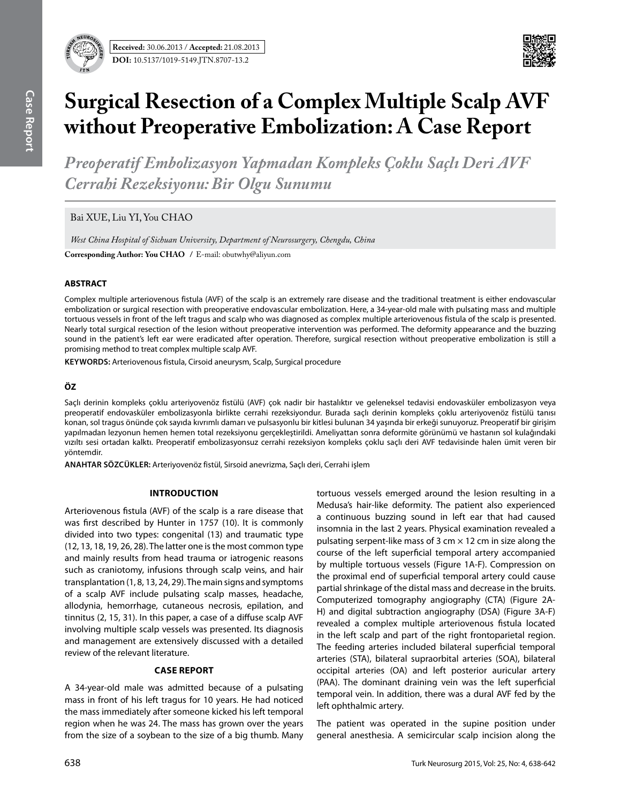

# **Surgical Resection of a Complex Multiple Scalp Avf without Preoperative Embolization: A Case Report**

*Preoperatif Embolizasyon Yapmadan Kompleks Çoklu Saçlı Deri AVF Cerrahi Rezeksiyonu: Bir Olgu Sunumu* 

Bai XUE, Liu YI, You CHAO

*West China Hospital of Sichuan University, Department of Neurosurgery, Chengdu, China*

**Corresponding Author: You Chao /** E-mail: obutwhy@aliyun.com

## **ABSTRACT**

Complex multiple arteriovenous fistula (AVF) of the scalp is an extremely rare disease and the traditional treatment is either endovascular embolization or surgical resection with preoperative endovascular embolization. Here, a 34-year-old male with pulsating mass and multiple tortuous vessels in front of the left tragus and scalp who was diagnosed as complex multiple arteriovenous fistula of the scalp is presented. Nearly total surgical resection of the lesion without preoperative intervention was performed. The deformity appearance and the buzzing sound in the patient's left ear were eradicated after operation. Therefore, surgical resection without preoperative embolization is still a promising method to treat complex multiple scalp AVF.

**Keywords:** Arteriovenous fistula, Cirsoid aneurysm, Scalp, Surgical procedure

## **ÖZ**

Saçlı derinin kompleks çoklu arteriyovenöz fistülü (AVF) çok nadir bir hastalıktır ve geleneksel tedavisi endovasküler embolizasyon veya preoperatif endovasküler embolizasyonla birlikte cerrahi rezeksiyondur. Burada saçlı derinin kompleks çoklu arteriyovenöz fistülü tanısı konan, sol tragus önünde çok sayıda kıvrımlı damarı ve pulsasyonlu bir kitlesi bulunan 34 yaşında bir erkeği sunuyoruz. Preoperatif bir girişim yapılmadan lezyonun hemen hemen total rezeksiyonu gerçekleştirildi. Ameliyattan sonra deformite görünümü ve hastanın sol kulağındaki vızıltı sesi ortadan kalktı. Preoperatif embolizasyonsuz cerrahi rezeksiyon kompleks çoklu saçlı deri AVF tedavisinde halen ümit veren bir yöntemdir.

**ANAHTAR SÖZCÜKLER:** Arteriyovenöz fistül, Sirsoid anevrizma, Saçlı deri, Cerrahi işlem

### **Introduction**

Arteriovenous fistula (AVF) of the scalp is a rare disease that was first described by Hunter in 1757 (10). It is commonly divided into two types: congenital (13) and traumatic type (12, 13, 18, 19, 26, 28). The latter one is the most common type and mainly results from head trauma or iatrogenic reasons such as craniotomy, infusions through scalp veins, and hair transplantation (1, 8, 13, 24, 29). The main signs and symptoms of a scalp AVF include pulsating scalp masses, headache, allodynia, hemorrhage, cutaneous necrosis, epilation, and tinnitus (2, 15, 31). In this paper, a case of a diffuse scalp AVF involving multiple scalp vessels was presented. Its diagnosis and management are extensively discussed with a detailed review of the relevant literature.

# **Case report**

A 34-year-old male was admitted because of a pulsating mass in front of his left tragus for 10 years. He had noticed the mass immediately after someone kicked his left temporal region when he was 24. The mass has grown over the years from the size of a soybean to the size of a big thumb. Many tortuous vessels emerged around the lesion resulting in a Medusa's hair-like deformity. The patient also experienced a continuous buzzing sound in left ear that had caused insomnia in the last 2 years. Physical examination revealed a pulsating serpent-like mass of 3 cm  $\times$  12 cm in size along the course of the left superficial temporal artery accompanied by multiple tortuous vessels (Figure 1A-F). Compression on the proximal end of superficial temporal artery could cause partial shrinkage of the distal mass and decrease in the bruits. Computerized tomography angiography (CTA) (Figure 2A-H) and digital subtraction angiography (DSA) (Figure 3A-F) revealed a complex multiple arteriovenous fistula located in the left scalp and part of the right frontoparietal region. The feeding arteries included bilateral superficial temporal arteries (STA), bilateral supraorbital arteries (SOA), bilateral occipital arteries (OA) and left posterior auricular artery (PAA). The dominant draining vein was the left superficial temporal vein. In addition, there was a dural AVF fed by the left ophthalmic artery.

The patient was operated in the supine position under general anesthesia. A semicircular scalp incision along the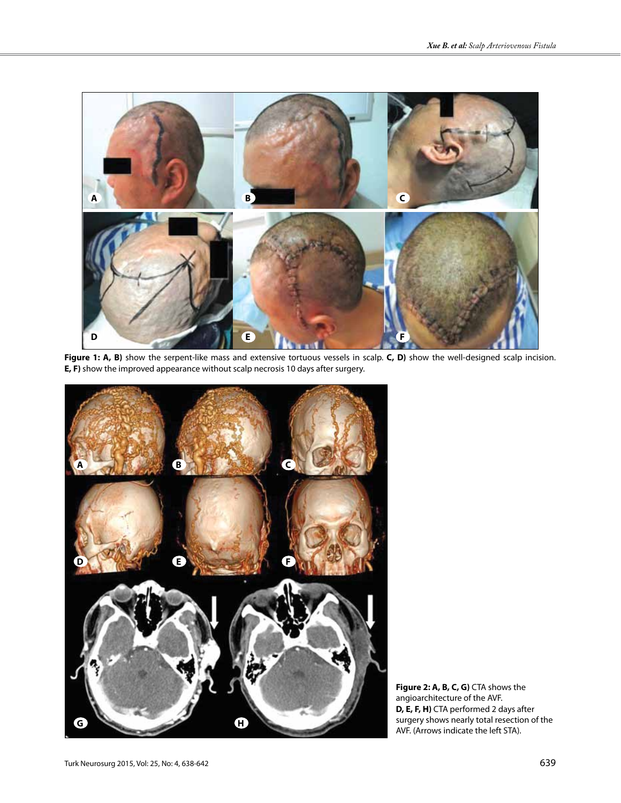

Figure 1: A, B) show the serpent-like mass and extensive tortuous vessels in scalp. C, D) show the well-designed scalp incision. **E, F)** show the improved appearance without scalp necrosis 10 days after surgery.



**Figure 2: A, B, C, G)** CTA shows the angioarchitecture of the AVF. **D, E, F, H)** CTA performed 2 days after surgery shows nearly total resection of the AVF. (Arrows indicate the left STA).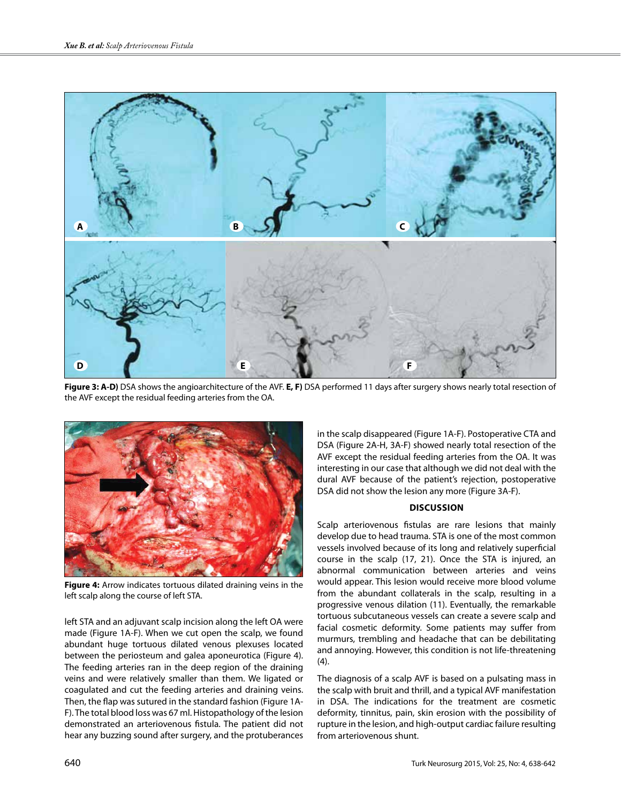

**Figure 3: A-D)** DSA shows the angioarchitecture of the AVF. **E, F)** DSA performed 11 days after surgery shows nearly total resection of the AVF except the residual feeding arteries from the OA.



**Figure 4:** Arrow indicates tortuous dilated draining veins in the left scalp along the course of left STA.

left STA and an adjuvant scalp incision along the left OA were made (Figure 1A-F). When we cut open the scalp, we found abundant huge tortuous dilated venous plexuses located between the periosteum and galea aponeurotica (Figure 4). The feeding arteries ran in the deep region of the draining veins and were relatively smaller than them. We ligated or coagulated and cut the feeding arteries and draining veins. Then, the flap was sutured in the standard fashion (Figure 1A-F). The total blood loss was 67 ml. Histopathology of the lesion demonstrated an arteriovenous fistula. The patient did not hear any buzzing sound after surgery, and the protuberances in the scalp disappeared (Figure 1A-F). Postoperative CTA and DSA (Figure 2A-H, 3A-F) showed nearly total resection of the AVF except the residual feeding arteries from the OA. It was interesting in our case that although we did not deal with the dural AVF because of the patient's rejection, postoperative DSA did not show the lesion any more (Figure 3A-F).

### **Discussion**

Scalp arteriovenous fistulas are rare lesions that mainly develop due to head trauma. STA is one of the most common vessels involved because of its long and relatively superficial course in the scalp (17, 21). Once the STA is injured, an abnormal communication between arteries and veins would appear. This lesion would receive more blood volume from the abundant collaterals in the scalp, resulting in a progressive venous dilation (11). Eventually, the remarkable tortuous subcutaneous vessels can create a severe scalp and facial cosmetic deformity. Some patients may suffer from murmurs, trembling and headache that can be debilitating and annoying. However, this condition is not life-threatening (4).

The diagnosis of a scalp AVF is based on a pulsating mass in the scalp with bruit and thrill, and a typical AVF manifestation in DSA. The indications for the treatment are cosmetic deformity, tinnitus, pain, skin erosion with the possibility of rupture in the lesion, and high-output cardiac failure resulting from arteriovenous shunt.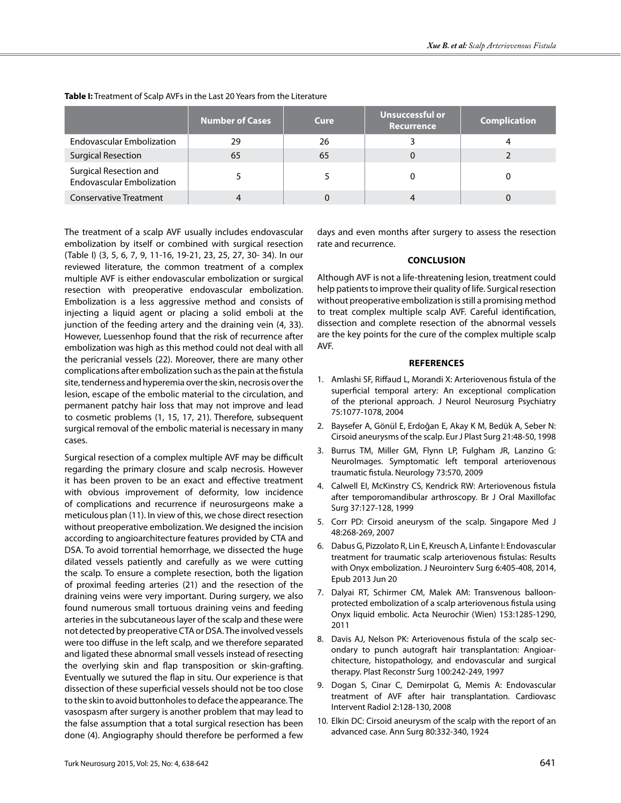|                                                            | Number of Cases | Cure | <b>Unsuccessful or</b><br><b>Recurrence</b> | <b>Complication</b> |
|------------------------------------------------------------|-----------------|------|---------------------------------------------|---------------------|
| <b>Endovascular Embolization</b>                           | 29              | 26   |                                             |                     |
| <b>Surgical Resection</b>                                  | 65              | 65   |                                             |                     |
| Surgical Resection and<br><b>Endovascular Embolization</b> |                 |      |                                             |                     |
| <b>Conservative Treatment</b>                              |                 |      |                                             |                     |

**Table I:** Treatment of Scalp AVFs in the Last 20 Years from the Literature

The treatment of a scalp AVF usually includes endovascular embolization by itself or combined with surgical resection (Table I) (3, 5, 6, 7, 9, 11-16, 19-21, 23, 25, 27, 30- 34). In our reviewed literature, the common treatment of a complex multiple AVF is either endovascular embolization or surgical resection with preoperative endovascular embolization. Embolization is a less aggressive method and consists of injecting a liquid agent or placing a solid emboli at the junction of the feeding artery and the draining vein (4, 33). However, Luessenhop found that the risk of recurrence after embolization was high as this method could not deal with all the pericranial vessels (22). Moreover, there are many other complications after embolization such as the pain at the fistula site, tenderness and hyperemia over the skin, necrosis over the lesion, escape of the embolic material to the circulation, and permanent patchy hair loss that may not improve and lead to cosmetic problems (1, 15, 17, 21). Therefore, subsequent surgical removal of the embolic material is necessary in many cases.

Surgical resection of a complex multiple AVF may be difficult regarding the primary closure and scalp necrosis. However it has been proven to be an exact and effective treatment with obvious improvement of deformity, low incidence of complications and recurrence if neurosurgeons make a meticulous plan (11). In view of this, we chose direct resection without preoperative embolization. We designed the incision according to angioarchitecture features provided by CTA and DSA. To avoid torrential hemorrhage, we dissected the huge dilated vessels patiently and carefully as we were cutting the scalp. To ensure a complete resection, both the ligation of proximal feeding arteries (21) and the resection of the draining veins were very important. During surgery, we also found numerous small tortuous draining veins and feeding arteries in the subcutaneous layer of the scalp and these were not detected by preoperative CTA or DSA. The involved vessels were too diffuse in the left scalp, and we therefore separated and ligated these abnormal small vessels instead of resecting the overlying skin and flap transposition or skin-grafting. Eventually we sutured the flap in situ. Our experience is that dissection of these superficial vessels should not be too close to the skin to avoid buttonholes to deface the appearance. The vasospasm after surgery is another problem that may lead to the false assumption that a total surgical resection has been done (4). Angiography should therefore be performed a few days and even months after surgery to assess the resection rate and recurrence.

#### **Conclusion**

Although AVF is not a life-threatening lesion, treatment could help patients to improve their quality of life. Surgical resection without preoperative embolization is still a promising method to treat complex multiple scalp AVF. Careful identification, dissection and complete resection of the abnormal vessels are the key points for the cure of the complex multiple scalp AVF.

#### **references**

- 1. Amlashi SF, Riffaud L, Morandi X: Arteriovenous fistula of the superficial temporal artery: An exceptional complication of the pterional approach. J Neurol Neurosurg Psychiatry 75:1077-1078, 2004
- 2. Baysefer A, Gönül E, Erdoğan E, Akay K M, Bedük A, Seber N: Cirsoid aneurysms of the scalp. Eur J Plast Surg 21:48-50, 1998
- 3. Burrus TM, Miller GM, Flynn LP, Fulgham JR, Lanzino G: NeuroImages. Symptomatic left temporal arteriovenous traumatic fistula. Neurology 73:570, 2009
- 4. Calwell EI, McKinstry CS, Kendrick RW: Arteriovenous fistula after temporomandibular arthroscopy. Br J Oral Maxillofac Surg 37:127-128, 1999
- 5. Corr PD: Cirsoid aneurysm of the scalp. Singapore Med J 48:268-269, 2007
- 6. Dabus G, Pizzolato R, Lin E, Kreusch A, Linfante I: Endovascular treatment for traumatic scalp arteriovenous fistulas: Results with Onyx embolization. J Neurointerv Surg 6:405-408, 2014, Epub 2013 Jun 20
- 7. Dalyai RT, Schirmer CM, Malek AM: Transvenous balloonprotected embolization of a scalp arteriovenous fistula using Onyx liquid embolic. Acta Neurochir (Wien) 153:1285-1290, 2011
- 8. Davis AJ, Nelson PK: Arteriovenous fistula of the scalp secondary to punch autograft hair transplantation: Angioarchitecture, histopathology, and endovascular and surgical therapy. Plast Reconstr Surg 100:242-249, 1997
- 9. Dogan S, Cinar C, Demirpolat G, Memis A: Endovascular treatment of AVF after hair transplantation. Cardiovasc Intervent Radiol 2:128-130, 2008
- 10. Elkin DC: Cirsoid aneurysm of the scalp with the report of an advanced case. Ann Surg 80:332-340, 1924